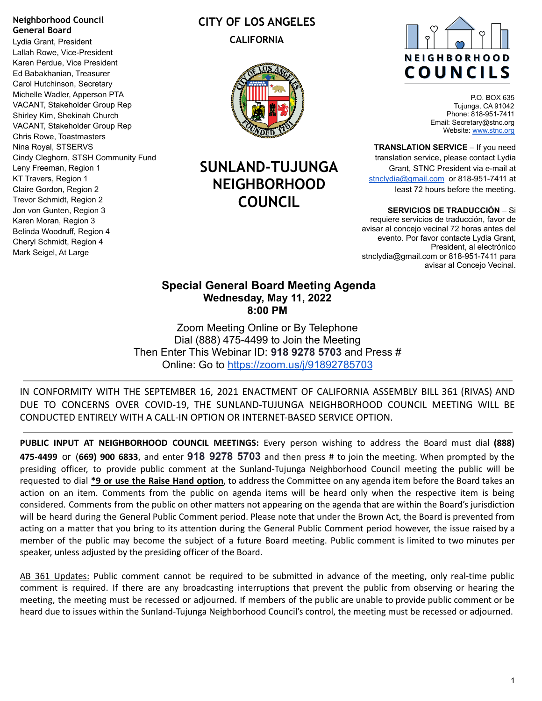#### **Neighborhood Council General Board**

Lydia Grant, President Lallah Rowe, Vice-President Karen Perdue, Vice President Ed Babakhanian, Treasurer Carol Hutchinson, Secretary Michelle Wadler, Apperson PTA VACANT, Stakeholder Group Rep Shirley Kim, Shekinah Church VACANT, Stakeholder Group Rep Chris Rowe, Toastmasters Nina Royal, STSERVS Cindy Cleghorn, STSH Community Fund Leny Freeman, Region 1 KT Travers, Region 1 Claire Gordon, Region 2 Trevor Schmidt, Region 2 Jon von Gunten, Region 3 Karen Moran, Region 3 Belinda Woodruff, Region 4 Cheryl Schmidt, Region 4 Mark Seigel, At Large

# **CITY OF LOS ANGELES CALIFORNIA**



# **SUNLAND-TUJUNGA NEIGHBORHOOD COUNCIL**



P.O. BOX 635 Tujunga, CA 91042 Phone: 818-951-7411 Email: Secretary@stnc.org Website: [www.stnc.org](http://www.stnc.org)

**TRANSLATION SERVICE** – If you need translation service, please contact Lydia Grant, STNC President via e-mail at [stnclydia@gmail.com](mailto:stnclydia@gmail.com) or 818-951-7411 at least 72 hours before the meeting.

**SERVICIOS DE TRADUCCIÓN** – Si

requiere servicios de traducción, favor de avisar al concejo vecinal 72 horas antes del evento. Por favor contacte Lydia Grant, President, al electrónico stnclydia@gmail.com or 818-951-7411 para avisar al Concejo Vecinal.

#### **Special General Board Meeting Agenda Wednesday, May 11, 2022 8:00 PM**

Zoom Meeting Online or By Telephone Dial (888) 475-4499 to Join the Meeting Then Enter This Webinar ID: **918 9278 5703** and Press # Online: Go to <https://zoom.us/j/91892785703>

IN CONFORMITY WITH THE SEPTEMBER 16, 2021 ENACTMENT OF CALIFORNIA ASSEMBLY BILL 361 (RIVAS) AND DUE TO CONCERNS OVER COVID-19, THE SUNLAND-TUJUNGA NEIGHBORHOOD COUNCIL MEETING WILL BE CONDUCTED ENTIRELY WITH A CALL-IN OPTION OR INTERNET-BASED SERVICE OPTION.

**PUBLIC INPUT AT NEIGHBORHOOD COUNCIL MEETINGS:** Every person wishing to address the Board must dial **(888) 475-4499** or (**669) 900 6833**, and enter **918 9278 5703** and then press # to join the meeting. When prompted by the presiding officer, to provide public comment at the Sunland-Tujunga Neighborhood Council meeting the public will be requested to dial **\*9 or use the Raise Hand option**, to address the Committee on any agenda item before the Board takes an action on an item. Comments from the public on agenda items will be heard only when the respective item is being considered. Comments from the public on other matters not appearing on the agenda that are within the Board's jurisdiction will be heard during the General Public Comment period. Please note that under the Brown Act, the Board is prevented from acting on a matter that you bring to its attention during the General Public Comment period however, the issue raised by a member of the public may become the subject of a future Board meeting. Public comment is limited to two minutes per speaker, unless adjusted by the presiding officer of the Board.

AB 361 Updates: Public comment cannot be required to be submitted in advance of the meeting, only real-time public comment is required. If there are any broadcasting interruptions that prevent the public from observing or hearing the meeting, the meeting must be recessed or adjourned. If members of the public are unable to provide public comment or be heard due to issues within the Sunland-Tujunga Neighborhood Council's control, the meeting must be recessed or adjourned.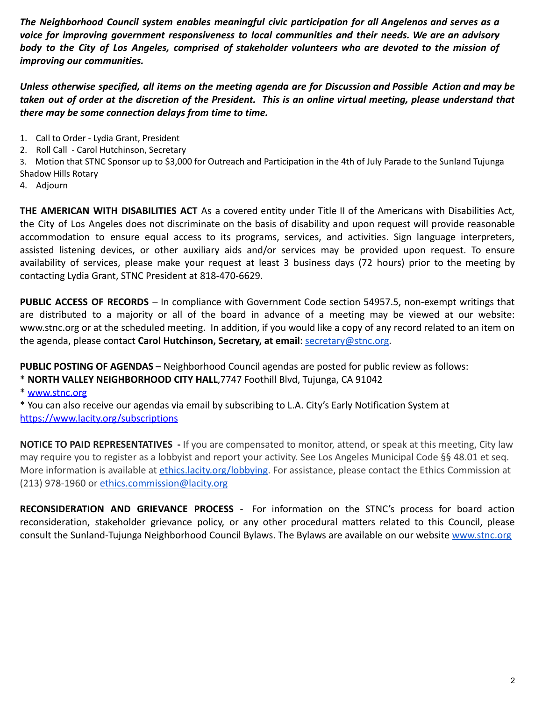*The Neighborhood Council system enables meaningful civic participation for all Angelenos and serves as a voice for improving government responsiveness to local communities and their needs. We are an advisory* body to the City of Los Angeles, comprised of stakeholder volunteers who are devoted to the mission of *improving our communities.*

Unless otherwise specified, all items on the meeting agenda are for Discussion and Possible Action and may be taken out of order at the discretion of the President. This is an online virtual meeting, please understand that *there may be some connection delays from time to time.*

- 1. Call to Order Lydia Grant, President
- 2. Roll Call Carol Hutchinson, Secretary

3. Motion that STNC Sponsor up to \$3,000 for Outreach and Participation in the 4th of July Parade to the Sunland Tujunga Shadow Hills Rotary

4. Adjourn

**THE AMERICAN WITH DISABILITIES ACT** As a covered entity under Title II of the Americans with Disabilities Act, the City of Los Angeles does not discriminate on the basis of disability and upon request will provide reasonable accommodation to ensure equal access to its programs, services, and activities. Sign language interpreters, assisted listening devices, or other auxiliary aids and/or services may be provided upon request. To ensure availability of services, please make your request at least 3 business days (72 hours) prior to the meeting by contacting Lydia Grant, STNC President at 818-470-6629.

**PUBLIC ACCESS OF RECORDS** – In compliance with Government Code section 54957.5, non-exempt writings that are distributed to a majority or all of the board in advance of a meeting may be viewed at our website: www.stnc.org or at the scheduled meeting. In addition, if you would like a copy of any record related to an item on the agenda, please contact **Carol Hutchinson, Secretary, at email**: secretary@stnc.org.

**PUBLIC POSTING OF AGENDAS** – Neighborhood Council agendas are posted for public review as follows:

\* **NORTH VALLEY NEIGHBORHOOD CITY HALL**,7747 Foothill Blvd, Tujunga, CA 91042

\* www.stnc.org

\* You can also receive our agendas via email by subscribing to L.A. City's Early Notification System at https://www.lacity.org/subscriptions

**NOTICE TO PAID REPRESENTATIVES -** If you are compensated to monitor, attend, or speak at this meeting, City law may require you to register as a lobbyist and report your activity. See Los Angeles Municipal Code §§ 48.01 et seq. More information is available at ethics.lacity.org/lobbying. For assistance, please contact the Ethics Commission at (213) 978-1960 or ethics.commission@lacity.org

**RECONSIDERATION AND GRIEVANCE PROCESS** - For information on the STNC's process for board action reconsideration, stakeholder grievance policy, or any other procedural matters related to this Council, please consult the Sunland-Tujunga Neighborhood Council Bylaws. The Bylaws are available on our website www.stnc.org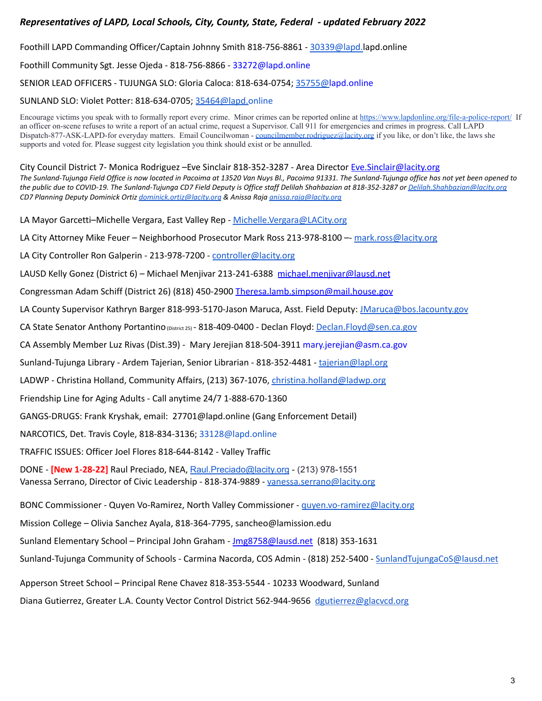#### *Representatives of LAPD, Local Schools, City, County, State, Federal - updated February 2022*

Foothill LAPD Commanding Officer/Captain Johnny Smith 818-756-8861 - [30339@lapd.](mailto:30339@lapd.lacity.org)lapd.online

Foothill Community Sgt. Jesse Ojeda - 818-756-8866 - 33272@lapd.online

SENIOR LEAD OFFICERS - TUJUNGA SLO: Gloria Caloca: 818-634-0754; [35755@l](mailto:35755@lapd.lacity.org)apd.online

SUNLAND SLO: Violet Potter: 818-634-0705; [35464@lapd.o](mailto:35464@lapd.lacity.org)nline

Encourage victims you speak with to formally report every crime. Minor crimes can be reported online at <https://www.lapdonline.org/file-a-police-report/> If an officer on-scene refuses to write a report of an actual crime, request a Supervisor. Call 911 for emergencies and crimes in progress. Call LAPD Dispatch-877-ASK-LAPD-for everyday matters. Email Councilwoman - [councilmember.rodriguez@lacity.org](mailto:councilmember.rodriguez@lacity.org) if you like, or don't like, the laws she supports and voted for. Please suggest city legislation you think should exist or be annulled.

City Council District 7- Monica Rodriguez –Eve Sinclair 818-352-3287 - Area Director [Eve.Sinclair@lacity.org](mailto:Eve.Sinclair@lacity.org) *The Sunland-Tujunga Field Office is now located in Pacoima at 13520 Van Nuys Bl., Pacoima 91331. The Sunland-Tujunga office has not yet been opened to the public due to COVID-19. The Sunland-Tujunga CD7 Field Deputy is Office staff Delilah Shahbazian at 818-352-3287 or [Delilah.Shahbazian@lacity.org](mailto:Delilah.Shahbazian@lacity.org) CD7 Planning Deputy Dominick Ortiz [dominick.ortiz@lacity.org](mailto:dominick.ortiz@lacity.org) & Anissa Raja [anissa.raja@lacity.org](mailto:anissa.raja@lacity.org)*

LA Mayor Garcetti–Michelle Vergara, East Valley Rep - [Michelle.Vergara@LACity.org](mailto:Michelle.Vergara@LACity.org)

LA City Attorney Mike Feuer - Neighborhood Prosecutor Mark Ross 213-978-8100 -- [mark.ross@lacity.org](mailto:mark.ross@lacity.org)

LA City Controller Ron Galperin - 213-978-7200 - [controller@lacity.org](mailto:controller@lacity.org)

LAUSD Kelly Gonez (District 6) – Michael Menjivar 213-241-6388 [michael.menjivar@lausd.net](mailto:michael.menjivar@lausd.net)

Congressman Adam Schiff (District 26) (818) 450-2900 [Theresa.lamb.simpson@mail.house.gov](mailto:Theresa.lamb.simpson@mail.house.gov)

LA County Supervisor Kathryn Barger 818-993-5170-Jason Maruca, Asst. Field Deputy: [JMaruca@bos.lacounty.gov](mailto:JMaruca@bos.lacounty.gov)

CA State Senator Anthony Portantino (District 25) - 818-409-0400 - Declan Floyd: [Declan.Floyd@sen.ca.gov](mailto:Declan.Floyd@sen.ca.gov)

CA Assembly Member Luz Rivas (Dist.39) - Mary Jerejian 818-504-3911 mary.jerejian@asm.ca.gov

Sunland-Tujunga Library - Ardem Tajerian, Senior Librarian - 818-352-4481 - [tajerian@lapl.org](mailto:tajerian@lapl.org)

LADWP - Christina Holland, Community Affairs, (213) 367-1076, [christina.holland@ladwp.org](mailto:christina.holland@ladwp.org)

Friendship Line for Aging Adults - Call anytime 24/7 1-888-670-1360

GANGS-DRUGS: Frank Kryshak, email: 27701@lapd.online (Gang Enforcement Detail)

NARCOTICS, Det. Travis Coyle, 818-834-3136; 33128@lapd.online

TRAFFIC ISSUES: Officer Joel Flores 818-644-8142 - Valley Traffic

DONE - **[New 1-28-22]** Raul Preciado, NEA, [Raul.Preciado@lacity.org](mailto:Raul.Preciado@lacity.org) - (213) 978-1551 Vanessa Serrano, Director of Civic Leadership - 818-374-9889 - [vanessa.serrano@lacity.org](mailto:vanessa.serrano@lacity.org)

BONC Commissioner - Quyen Vo-Ramirez, North Valley Commissioner - [quyen.vo-ramirez@lacity.org](mailto:quyen.vo-ramirez@lacity.org)

Mission College – Olivia Sanchez Ayala, 818-364-7795, sancheo@lamission.edu

Sunland Elementary School – Principal John Graham - [Jmg8758@lausd.net](mailto:Jmg8758@lausd.net) (818) 353-1631

Sunland-Tujunga Community of Schools - Carmina Nacorda, COS Admin - (818) 252-5400 - [SunlandTujungaCoS@lausd.net](mailto:SunlandTujungaCoS@lausd.net)

Apperson Street School – Principal Rene Chavez 818-353-5544 - 10233 Woodward, Sunland

Diana Gutierrez, Greater L.A. County Vector Control District 562-944-9656 [dgutierrez@glacvcd.org](mailto:dgutierrez@glacvcd.org)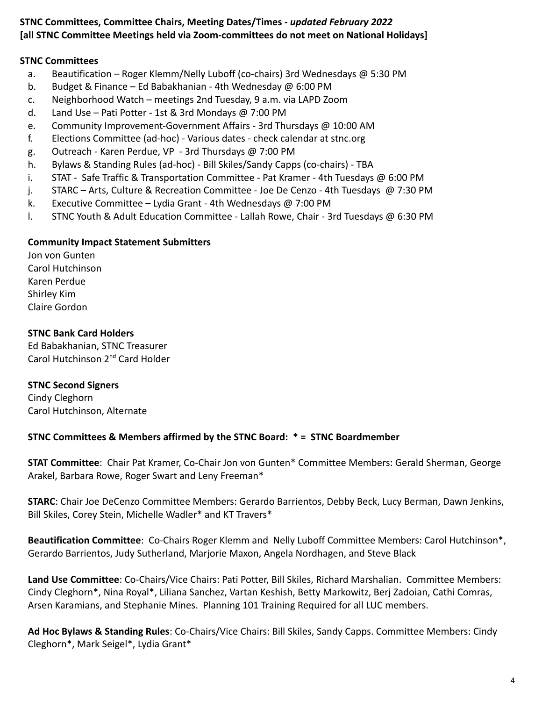## **STNC Committees, Committee Chairs, Meeting Dates/Times -** *updated February 2022* **[all STNC Committee Meetings held via Zoom-committees do not meet on National Holidays]**

#### **STNC Committees**

- a. Beautification Roger Klemm/Nelly Luboff (co-chairs) 3rd Wednesdays  $\omega$  5:30 PM
- b. Budget & Finance Ed Babakhanian 4th Wednesday @ 6:00 PM
- c. Neighborhood Watch meetings 2nd Tuesday, 9 a.m. via LAPD Zoom
- d. Land Use Pati Potter 1st & 3rd Mondays @ 7:00 PM
- e. Community Improvement-Government Affairs 3rd Thursdays @ 10:00 AM
- f. Elections Committee (ad-hoc) Various dates check calendar at stnc.org
- g. Outreach Karen Perdue, VP 3rd Thursdays @ 7:00 PM
- h. Bylaws & Standing Rules (ad-hoc) Bill Skiles/Sandy Capps (co-chairs) TBA
- i. STAT Safe Traffic & Transportation Committee Pat Kramer 4th Tuesdays @ 6:00 PM
- j. STARC Arts, Culture & Recreation Committee Joe De Cenzo 4th Tuesdays @ 7:30 PM
- k. Executive Committee Lydia Grant 4th Wednesdays @ 7:00 PM
- l. STNC Youth & Adult Education Committee Lallah Rowe, Chair 3rd Tuesdays @ 6:30 PM

#### **Community Impact Statement Submitters**

Jon von Gunten Carol Hutchinson Karen Perdue Shirley Kim Claire Gordon

## **STNC Bank Card Holders**

Ed Babakhanian, STNC Treasurer Carol Hutchinson 2nd Card Holder

# **STNC Second Signers**

Cindy Cleghorn Carol Hutchinson, Alternate

#### **STNC Committees & Members affirmed by the STNC Board: \* = STNC Boardmember**

**STAT Committee**: Chair Pat Kramer, Co-Chair Jon von Gunten\* Committee Members: Gerald Sherman, George Arakel, Barbara Rowe, Roger Swart and Leny Freeman\*

**STARC**: Chair Joe DeCenzo Committee Members: Gerardo Barrientos, Debby Beck, Lucy Berman, Dawn Jenkins, Bill Skiles, Corey Stein, Michelle Wadler\* and KT Travers\*

**Beautification Committee**: Co-Chairs Roger Klemm and Nelly Luboff Committee Members: Carol Hutchinson\*, Gerardo Barrientos, Judy Sutherland, Marjorie Maxon, Angela Nordhagen, and Steve Black

**Land Use Committee**: Co-Chairs/Vice Chairs: Pati Potter, Bill Skiles, Richard Marshalian. Committee Members: Cindy Cleghorn\*, Nina Royal\*, Liliana Sanchez, Vartan Keshish, Betty Markowitz, Berj Zadoian, Cathi Comras, Arsen Karamians, and Stephanie Mines. Planning 101 Training Required for all LUC members.

**Ad Hoc Bylaws & Standing Rules**: Co-Chairs/Vice Chairs: Bill Skiles, Sandy Capps. Committee Members: Cindy Cleghorn\*, Mark Seigel\*, Lydia Grant\*